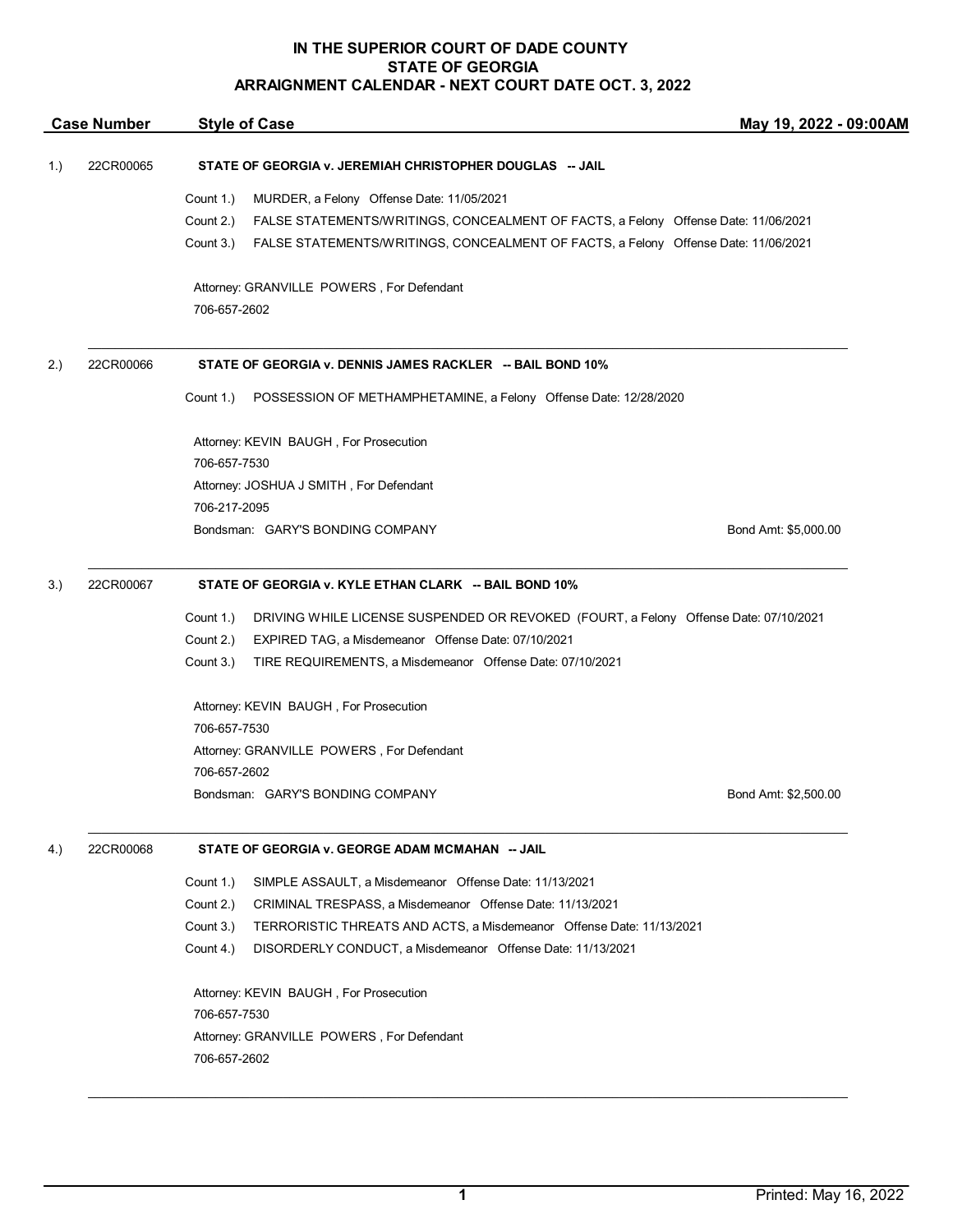## **IN THE SUPERIOR COURT OF DADE COUNTY STATE OF GEORGIA ARRAIGNMENT CALENDAR - NEXT COURT DATE OCT. 3, 2022**

| <b>Case Number</b> |           | <b>Style of Case</b>                                                                              | May 19, 2022 - 09:00AM |  |
|--------------------|-----------|---------------------------------------------------------------------------------------------------|------------------------|--|
| 1.)                | 22CR00065 | STATE OF GEORGIA v. JEREMIAH CHRISTOPHER DOUGLAS -- JAIL                                          |                        |  |
|                    |           | MURDER, a Felony Offense Date: 11/05/2021<br>Count 1.)                                            |                        |  |
|                    |           | Count 2.)<br>FALSE STATEMENTS/WRITINGS, CONCEALMENT OF FACTS, a Felony Offense Date: 11/06/2021   |                        |  |
|                    |           | FALSE STATEMENTS/WRITINGS, CONCEALMENT OF FACTS, a Felony Offense Date: 11/06/2021<br>Count 3.)   |                        |  |
|                    |           | Attorney: GRANVILLE POWERS, For Defendant<br>706-657-2602                                         |                        |  |
| 2.)                | 22CR00066 | STATE OF GEORGIA v. DENNIS JAMES RACKLER -- BAIL BOND 10%                                         |                        |  |
|                    |           | POSSESSION OF METHAMPHETAMINE, a Felony Offense Date: 12/28/2020<br>Count 1.)                     |                        |  |
|                    |           | Attorney: KEVIN BAUGH, For Prosecution                                                            |                        |  |
|                    |           | 706-657-7530                                                                                      |                        |  |
|                    |           | Attorney: JOSHUA J SMITH, For Defendant                                                           |                        |  |
|                    |           | 706-217-2095                                                                                      |                        |  |
|                    |           | Bondsman: GARY'S BONDING COMPANY                                                                  | Bond Amt: \$5,000.00   |  |
| 3.)                | 22CR00067 | STATE OF GEORGIA v. KYLE ETHAN CLARK -- BAIL BOND 10%                                             |                        |  |
|                    |           | Count 1.)<br>DRIVING WHILE LICENSE SUSPENDED OR REVOKED (FOURT, a Felony Offense Date: 07/10/2021 |                        |  |
|                    |           | Count 2.)<br>EXPIRED TAG, a Misdemeanor Offense Date: 07/10/2021                                  |                        |  |
|                    |           | Count 3.)<br>TIRE REQUIREMENTS, a Misdemeanor Offense Date: 07/10/2021                            |                        |  |
|                    |           | Attorney: KEVIN BAUGH, For Prosecution                                                            |                        |  |
|                    |           | 706-657-7530                                                                                      |                        |  |
|                    |           | Attorney: GRANVILLE POWERS, For Defendant                                                         |                        |  |
|                    |           | 706-657-2602<br>Bondsman: GARY'S BONDING COMPANY                                                  | Bond Amt: \$2,500.00   |  |
| 4.)                | 22CR00068 | STATE OF GEORGIA v. GEORGE ADAM MCMAHAN -- JAIL                                                   |                        |  |
|                    |           | Count 1.)<br>SIMPLE ASSAULT, a Misdemeanor Offense Date: 11/13/2021                               |                        |  |
|                    |           | Count 2.)<br>CRIMINAL TRESPASS, a Misdemeanor Offense Date: 11/13/2021                            |                        |  |
|                    |           | Count 3.)<br>TERRORISTIC THREATS AND ACTS, a Misdemeanor Offense Date: 11/13/2021                 |                        |  |
|                    |           | Count 4.)<br>DISORDERLY CONDUCT, a Misdemeanor Offense Date: 11/13/2021                           |                        |  |
|                    |           | Attorney: KEVIN BAUGH, For Prosecution                                                            |                        |  |
|                    |           | 706-657-7530                                                                                      |                        |  |
|                    |           | Attorney: GRANVILLE POWERS, For Defendant                                                         |                        |  |
|                    |           | 706-657-2602                                                                                      |                        |  |